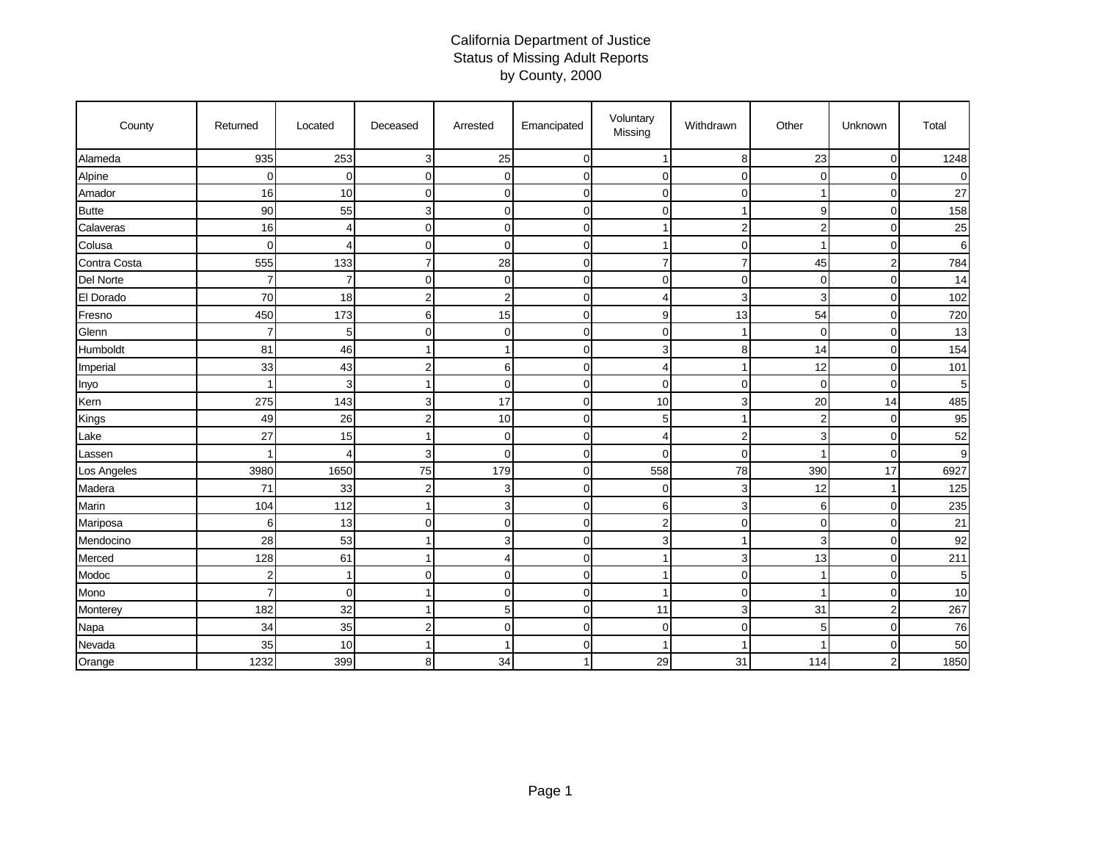## California Department of Justice Status of Missing Adult Reports by County, 2000

| County       | Returned       | Located     | Deceased       | Arrested       | Emancipated | Voluntary<br>Missing | Withdrawn      | Other          | Unknown        | Total    |
|--------------|----------------|-------------|----------------|----------------|-------------|----------------------|----------------|----------------|----------------|----------|
| Alameda      | 935            | 253         | 3              | 25             | $\mathbf 0$ | -1                   | 8              | 23             | $\mathbf 0$    | 1248     |
| Alpine       | $\mathbf 0$    | $\Omega$    | $\Omega$       | 0              | 0           | 0                    | $\Omega$       | $\Omega$       | $\Omega$       | $\Omega$ |
| Amador       | 16             | 10          | $\Omega$       | 0              | $\mathbf 0$ | 0                    | $\Omega$       |                | $\mathbf 0$    | 27       |
| <b>Butte</b> | 90             | 55          | 3              | 0              | 0           | $\mathbf 0$          |                | 9              | $\mathbf 0$    | 158      |
| Calaveras    | 16             | 4           | $\mathbf 0$    | 0              | $\mathbf 0$ | -1                   | $\overline{2}$ | $\overline{2}$ | $\mathbf 0$    | 25       |
| Colusa       | $\mathbf 0$    | 4           | $\overline{0}$ | $\Omega$       | $\mathbf 0$ |                      | $\Omega$       | 1              | $\mathbf 0$    | 6        |
| Contra Costa | 555            | 133         | $\overline{7}$ | 28             | $\mathbf 0$ | $\overline{7}$       | 7              | 45             | $\overline{2}$ | 784      |
| Del Norte    | 7              | 7           | $\Omega$       | 0              | $\mathbf 0$ | 0                    | $\mathbf 0$    | 0              | $\mathbf 0$    | 14       |
| El Dorado    | 70             | 18          | $\overline{2}$ | 2              | $\mathbf 0$ | $\overline{4}$       | 3              | 3              | $\mathbf 0$    | 102      |
| Fresno       | 450            | 173         | 6              | 15             | $\mathbf 0$ | 9                    | 13             | 54             | $\mathbf 0$    | 720      |
| Glenn        | 7              | 5           | $\Omega$       | 0              | $\mathbf 0$ | $\mathbf 0$          |                | 0              | $\mathbf 0$    | 13       |
| Humboldt     | 81             | 46          |                |                | $\mathbf 0$ | 3                    | 8              | 14             | 0              | 154      |
| Imperial     | 33             | 43          | $\overline{2}$ | 6              | $\mathbf 0$ | 4                    |                | 12             | $\mathbf 0$    | 101      |
| Inyo         |                | 3           |                | $\overline{0}$ | 0           | $\mathbf 0$          | $\Omega$       | $\mathbf 0$    | $\Omega$       | 5        |
| Kern         | 275            | 143         | 3              | 17             | 0           | 10                   | 3              | 20             | 14             | 485      |
| Kings        | 49             | 26          | $\overline{2}$ | 10             | $\mathbf 0$ | 5                    |                | $\overline{2}$ | $\mathbf 0$    | 95       |
| Lake         | 27             | 15          |                | 0              | 0           | 4                    | $\overline{2}$ | 3              | 0              | 52       |
| Lassen       |                | ۷           | 3              | 0              | $\mathbf 0$ | $\mathbf 0$          | $\mathbf 0$    |                | $\mathbf 0$    | 9        |
| Los Angeles  | 3980           | 1650        | 75             | 179            | $\mathbf 0$ | 558                  | 78             | 390            | 17             | 6927     |
| Madera       | 71             | 33          | $\overline{2}$ | 3              | $\mathbf 0$ | 0                    | 3              | 12             | 1              | 125      |
| Marin        | 104            | 112         |                | 3              | $\mathbf 0$ | 6                    | 3              | 6              | $\mathbf 0$    | 235      |
| Mariposa     | 6              | 13          | $\Omega$       | 0              | $\mathbf 0$ | $\overline{2}$       | $\mathbf 0$    | 0              | $\mathbf 0$    | 21       |
| Mendocino    | 28             | 53          |                | 3              | 0           | 3                    |                | 3              | $\mathbf 0$    | 92       |
| Merced       | 128            | 61          |                | 4              | 0           |                      | 3              | 13             | $\mathbf 0$    | 211      |
| Modoc        | $\overline{2}$ | 1           | $\Omega$       | $\Omega$       | $\mathbf 0$ |                      | $\Omega$       |                | $\Omega$       | 5        |
| Mono         | 7              | $\mathbf 0$ |                | 0              | $\mathbf 0$ | -1                   | $\Omega$       |                | 0              | 10       |
| Monterey     | 182            | 32          |                | 5              | $\mathbf 0$ | 11                   | 3              | 31             | $\overline{2}$ | 267      |
| Napa         | 34             | 35          | $\overline{2}$ | $\overline{0}$ | $\mathbf 0$ | $\mathbf 0$          | $\mathbf 0$    | 5              | $\mathbf 0$    | 76       |
| Nevada       | 35             | 10          |                |                | 0           |                      |                |                | 0              | 50       |
| Orange       | 1232           | 399         | 8              | 34             | 1           | 29                   | 31             | 114            | $\overline{2}$ | 1850     |